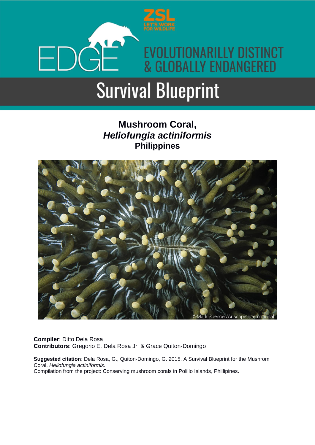

# **Survival Blueprint**

# **Mushroom Coral,** *Heliofungia actiniformis* **Philippines**



**Compiler**: Ditto Dela Rosa **Contributors**: Gregorio E. Dela Rosa Jr. & Grace Quiton-Domingo

**Suggested citation**: Dela Rosa, G., Quiton-Domingo, G. 2015. A Survival Blueprint for the Mushrom Coral, *Heliofungia actiniformis*. Compilation from the project: Conserving mushroom corals in Polillo Islands, Phillipines.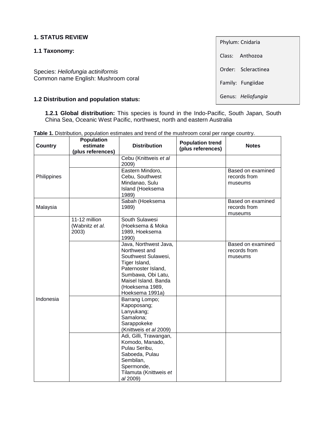#### **1. STATUS REVIEW**

#### **1.1 Taxonomy:**

Species: *Heliofungia actiniformis* Common name English: Mushroom coral

#### **1.2 Distribution and population status:**

**1.2.1 Global distribution:** This species is found in the Indo-Pacific, South Japan, South China Sea, Oceanic West Pacific, northwest, north and eastern Australia

|                | <b>Population</b>                         | <b>Table 1.</b> Distribution, population estimates and trend or the mushfoon coral per range country.                                                                                     |                         |                                              |
|----------------|-------------------------------------------|-------------------------------------------------------------------------------------------------------------------------------------------------------------------------------------------|-------------------------|----------------------------------------------|
| <b>Country</b> | estimate                                  | <b>Distribution</b>                                                                                                                                                                       | <b>Population trend</b> | <b>Notes</b>                                 |
|                | (plus references)                         |                                                                                                                                                                                           | (plus references)       |                                              |
|                |                                           | Cebu (Knittweis et al<br>2009)                                                                                                                                                            |                         |                                              |
| Philippines    |                                           | Eastern Mindoro,<br>Cebu, Southwest<br>Mindanao, Sulu<br>Island (Hoeksema<br>1989)                                                                                                        |                         | Based on examined<br>records from<br>museums |
| Malaysia       |                                           | Sabah (Hoeksema<br>1989)                                                                                                                                                                  |                         | Based on examined<br>records from<br>museums |
|                | 11-12 million<br>(Wabnitz et al.<br>2003) | South Sulawesi<br>(Hoeksema & Moka<br>1989, Hoeksema<br>1990)                                                                                                                             |                         |                                              |
|                |                                           | Java, Northwest Java,<br>Northwest and<br>Southwest Sulawesi,<br>Tiger Island,<br>Paternoster Island,<br>Sumbawa, Obi Latu,<br>Maisel Island. Banda<br>(Hoeksema 1989,<br>Hoeksema 1991a) |                         | Based on examined<br>records from<br>museums |
| Indonesia      |                                           | Barrang Lompo;<br>Kapoposang;<br>Lanyukang;<br>Samalona;<br>Sarappokeke<br>(Knittweis et al 2009)                                                                                         |                         |                                              |
|                |                                           | Adi, Gilli, Trawangan,<br>Komodo, Manado,<br>Pulau Seribu,<br>Saboeda, Pulau<br>Sembilan,<br>Spermonde,<br>Tilamuta (Knittweis et<br>al 2009)                                             |                         |                                              |

**Table 1.** Distribution, population estimates and trend of the mushroom coral per range country.

Phylum: Cnidaria Class: Anthozoa Order: Scleractinea Family: Fungiidae Genus: *Heliofungia*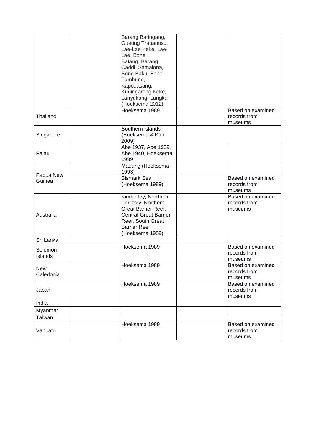|                         | Barang Baringang,<br>Gusung Trabanusu,<br>Lae-Lae Keke, Lae-<br>Lae, Bone<br>Batang, Barang<br>Caddi, Samalona,<br>Bone Baku, Bone<br>Tambung,<br>Kapodasang,<br>Kudingareng Keke,<br>Lanyukang, Langkai |                                              |
|-------------------------|----------------------------------------------------------------------------------------------------------------------------------------------------------------------------------------------------------|----------------------------------------------|
| Thailand                | (Hoeksema 2012)<br>Hoeksema 1989                                                                                                                                                                         | Based on examined<br>records from<br>museums |
| Singapore               | Southern islands<br>(Hoeksema & Koh<br>2009)                                                                                                                                                             |                                              |
| Palau                   | Abe 1937, Abe 1939,<br>Abe 1940, Hoeksema<br>1989                                                                                                                                                        |                                              |
|                         | Madang (Hoeksema<br>1993)                                                                                                                                                                                |                                              |
| Papua New<br>Guinea     | <b>Bismark Sea</b><br>(Hoeksema 1989)                                                                                                                                                                    | Based on examined<br>records from<br>museums |
| Australia               | Kimberley, Northern<br>Territory, Northern<br><b>Great Barrier Reef,</b><br><b>Central Great Barrier</b><br>Reef, South Great<br><b>Barrier Reef</b><br>(Hoeksema 1989)                                  | Based on examined<br>records from<br>museums |
| Sri Lanka               |                                                                                                                                                                                                          |                                              |
| Solomon<br>Islands      | Hoeksema 1989                                                                                                                                                                                            | Based on examined<br>records from<br>museums |
| <b>New</b><br>Caledonia | Hoeksema 1989                                                                                                                                                                                            | Based on examined<br>records from<br>museums |
| Japan                   | Hoeksema 1989                                                                                                                                                                                            | Based on examined<br>records from<br>museums |
| India                   |                                                                                                                                                                                                          |                                              |
| Myanmar                 |                                                                                                                                                                                                          |                                              |
| Taiwan                  |                                                                                                                                                                                                          |                                              |
| Vanuatu                 | Hoeksema 1989                                                                                                                                                                                            | Based on examined<br>records from<br>museums |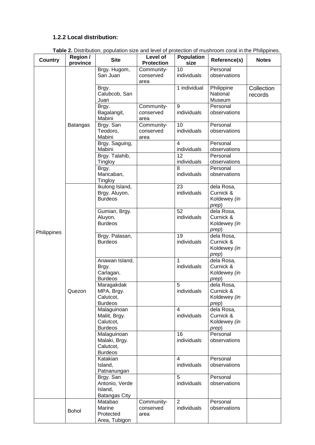#### **1.2.2 Local distribution:**

|                | Table 2. Distribution, population size and level of protection of mushroom coral in the Philippines. |                                                                |                                 |                               |                                                  |                       |  |
|----------------|------------------------------------------------------------------------------------------------------|----------------------------------------------------------------|---------------------------------|-------------------------------|--------------------------------------------------|-----------------------|--|
| <b>Country</b> | Region /<br>province                                                                                 | <b>Site</b>                                                    | Level of<br><b>Protection</b>   | <b>Population</b><br>size     | Reference(s)                                     | <b>Notes</b>          |  |
|                |                                                                                                      | Brgy. Hugom,<br>San Juan                                       | Community-<br>conserved<br>area | 10<br>individuals             | Personal<br>observations                         |                       |  |
|                |                                                                                                      | Brgy.<br>Calubcob, San<br>Juan                                 |                                 | 1 individual                  | Philippine<br>National<br>Museum                 | Collection<br>records |  |
|                |                                                                                                      | Brgy.<br>Bagalangit,<br>Mabini                                 | Community-<br>conserved<br>area | $\overline{9}$<br>individuals | Personal<br>observations                         |                       |  |
|                | <b>Batangas</b>                                                                                      | Brgy. San<br>Teodoro,<br>Mabini                                | Community-<br>conserved<br>area | 10<br>individuals             | Personal<br>observations                         |                       |  |
|                |                                                                                                      | Brgy. Saguing,<br>Mabini                                       |                                 | 4<br>individuals              | Personal<br>observations                         |                       |  |
|                |                                                                                                      | Brgy. Talahib,<br>Tingloy                                      |                                 | 12<br>individuals             | Personal<br>observations                         |                       |  |
|                |                                                                                                      | Brgy.<br>Maricaban,<br>Tingloy                                 |                                 | 8<br>individuals              | Personal<br>observations                         |                       |  |
|                | Quezon                                                                                               | Ikulong Island,<br>Brgy. Aluyon,<br><b>Burdeos</b>             |                                 | 23<br>individuals             | dela Rosa,<br>Curnick &<br>Koldewey (in<br>prep) |                       |  |
| Philippines    |                                                                                                      | Gumian, Brgy.<br>Aluyon,<br><b>Burdeos</b>                     |                                 | 52<br>individuals             | dela Rosa,<br>Curnick &<br>Koldewey (in<br>prep) |                       |  |
|                |                                                                                                      | Brgy. Palasan,<br><b>Burdeos</b>                               |                                 | 19<br>individuals             | dela Rosa,<br>Curnick &<br>Koldewey (in<br>prep) |                       |  |
|                |                                                                                                      | Anawan Island,<br>Brgy.<br>Carlagan,<br><b>Burdeos</b>         |                                 | 1<br>individuals              | dela Rosa,<br>Curnick &<br>Koldewey (in<br>prep) |                       |  |
|                |                                                                                                      | Maragakdak<br>MPA, Brgy.<br>Calutcot,<br><b>Burdeos</b>        |                                 | 5<br>individuals              | dela Rosa,<br>Curnick &<br>Koldewey (in<br>prep) |                       |  |
|                |                                                                                                      | Malaguinoan<br>Maliit, Brgy.<br>Calutcot,<br><b>Burdeos</b>    |                                 | 4<br>individuals              | dela Rosa,<br>Curnick &<br>Koldewey (in<br>prep) |                       |  |
|                |                                                                                                      | Malaguinoan<br>Malaki, Brgy.<br>Calutcot,<br><b>Burdeos</b>    |                                 | 16<br>individuals             | Personal<br>observations                         |                       |  |
|                |                                                                                                      | Katakian<br>Island,<br>Patnanungan                             |                                 | 4<br>individuals              | Personal<br>observations                         |                       |  |
|                |                                                                                                      | Brgy. San<br>Antonio, Verde<br>Island,<br><b>Batangas City</b> |                                 | 5<br>individuals              | Personal<br>observations                         |                       |  |
|                | <b>Bohol</b>                                                                                         | Matabao<br>Marine<br>Protected<br>Area, Tubigon                | Community-<br>conserved<br>area | $\overline{2}$<br>individuals | Personal<br>observations                         |                       |  |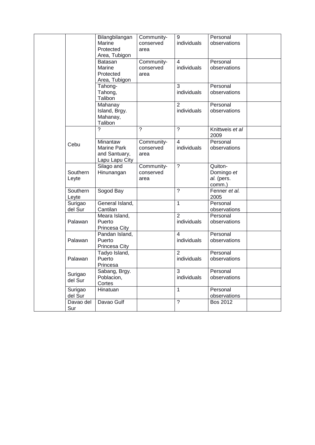|                    | Bilangbilangan<br>Marine<br>Protected<br>Area, Tubigon            | Community-<br>conserved<br>area | 9<br>individuals                        | Personal<br>observations                      |
|--------------------|-------------------------------------------------------------------|---------------------------------|-----------------------------------------|-----------------------------------------------|
|                    | <b>Batasan</b><br>Marine<br>Protected<br>Area, Tubigon            | Community-<br>conserved<br>area | 4<br>individuals                        | Personal<br>observations                      |
|                    | Tahong-<br>Tahong,<br>Talibon                                     |                                 | 3<br>individuals                        | Personal<br>observations                      |
|                    | Mahanay<br>Island, Brgy.<br>Mahanay,<br>Talibon                   |                                 | $\overline{2}$<br>individuals           | Personal<br>observations                      |
|                    | $\boldsymbol{\gamma}$                                             | $\boldsymbol{\gamma}$           | $\gamma$                                | Knittweis et al<br>2009                       |
| Cebu               | Minantaw<br><b>Marine Park</b><br>and Santuary,<br>Lapu Lapu City | Community-<br>conserved<br>area | $\overline{\mathcal{L}}$<br>individuals | Personal<br>observations                      |
| Southern<br>Leyte  | Silago and<br>Hinunangan                                          | Community-<br>conserved<br>area | $\overline{\phantom{0}}$                | Quiton-<br>Domingo et<br>al. (pers.<br>comm.) |
| Southern<br>Leyte  | Sogod Bay                                                         |                                 | $\tilde{?}$                             | Fenner et al.<br>2005                         |
| Surigao<br>del Sur | General Island,<br>Cantilan                                       |                                 | $\mathbf{1}$                            | Personal<br>observations                      |
| Palawan            | Meara Island,<br>Puerto<br>Princesa City                          |                                 | $\overline{2}$<br>individuals           | Personal<br>observations                      |
| Palawan            | Pandan Island,<br>Puerto<br>Princesa City                         |                                 | $\overline{\mathbf{4}}$<br>individuals  | Personal<br>observations                      |
| Palawan            | Tadyo Island,<br>Puerto<br>Princesa                               |                                 | $\overline{2}$<br>individuals           | Personal<br>observations                      |
| Surigao<br>del Sur | Sabang, Brgy.<br>Poblacion,<br>Cortes                             |                                 | 3<br>individuals                        | Personal<br>observations                      |
| Surigao<br>del Sur | Hinatuan                                                          |                                 | $\mathbf{1}$                            | Personal<br>observations                      |
| Davao del<br>Sur   | Davao Gulf                                                        |                                 | $\overline{?}$                          | <b>Bos 2012</b>                               |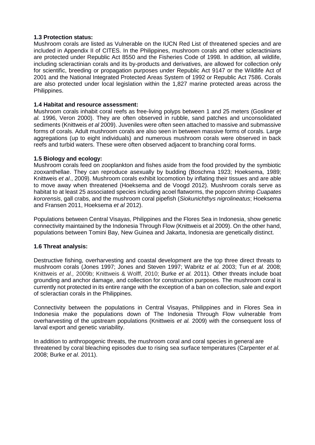#### **1.3 Protection status:**

Mushroom corals are listed as Vulnerable on the IUCN Red List of threatened species and are included in Appendix II of CITES. In the Philippines, mushroom corals and other scleractinians are protected under Republic Act 8550 and the Fisheries Code of 1998. In addition, all wildlife, including scleractinian corals and its by-products and derivatives, are allowed for collection only for scientific, breeding or propagation purposes under Republic Act 9147 or the Wildlife Act of 2001 and the National Integrated Protected Areas System of 1992 or Republic Act 7586. Corals are also protected under local legislation within the 1,827 marine protected areas across the Philippines.

#### **1.4 Habitat and resource assessment:**

Mushroom corals inhabit coral reefs as free-living polyps between 1 and 25 meters (Gosliner *et al.* 1996, Veron 2000). They are often observed in rubble, sand patches and unconsolidated sediments (Knittweis *et al* 2009). Juveniles were often seen attached to massive and submassive forms of corals. Adult mushroom corals are also seen in between massive forms of corals. Large aggregations (up to eight individuals) and numerous mushroom corals were observed in back reefs and turbid waters. These were often observed adjacent to branching coral forms.

#### **1.5 Biology and ecology:**

Mushroom corals feed on zooplankton and fishes aside from the food provided by the symbiotic zooxanthellae. They can reproduce asexually by budding (Boschma 1923; Hoeksema, 1989; Knittweis *et al*., 2009). Mushroom corals exhibit locomotion by inflating their tissues and are able to move away when threatened (Hoeksema and de Voogd 2012). Mushroom corals serve as habitat to at least 25 associated species including acoel flatworms, the popcorn shrimp *Cuapates kororensis*, gall crabs, and the mushroom coral pipefish (*Siokunichthys nigrolineatus*; Hoeksema and Fransen 2011, Hoeksema *et al* 2012).

Populations between Central Visayas, Philippines and the Flores Sea in Indonesia, show genetic connectivity maintained by the Indonesia Through Flow (Knittweis et al 2009). On the other hand, populations between Tomini Bay, New Guinea and Jakarta, Indonesia are genetically distinct.

#### **1.6 Threat analysis:**

Destructive fishing, overharvesting and coastal development are the top three direct threats to mushroom corals (Jones 1997; Jones and Steven 1997; Wabritz *et al.* 2003; Tun *et al.* 2008; Knittweis *et al.,* 2009b; Knittweis & Wolff, 2010; Burke *et al.* 2011). Other threats include boat grounding and anchor damage, and collection for construction purposes. The mushroom coral is currently not protected in its entire range with the exception of a ban on collection, sale and export of scleractian corals in the Philippines.

Connectivity between the populations in Central Visayas, Philippines and in Flores Sea in Indonesia make the populations down of The Indonesia Through Flow vulnerable from overharvesting of the upstream populations (Knittweis *et al.* 2009) with the consequent loss of larval export and genetic variability.

In addition to anthropogenic threats, the mushroom coral and coral species in general are threatened by coral bleaching episodes due to rising sea surface temperatures (Carpenter *et al.*  2008; Burke *et al*. 2011).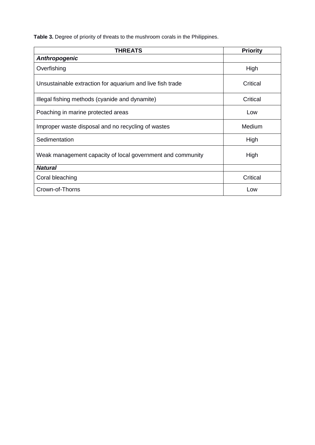**Table 3.** Degree of priority of threats to the mushroom corals in the Philippines.

| THREATS                                                    | <b>Priority</b> |
|------------------------------------------------------------|-----------------|
| Anthropogenic                                              |                 |
| Overfishing                                                | High            |
| Unsustainable extraction for aquarium and live fish trade  | Critical        |
| Illegal fishing methods (cyanide and dynamite)             | Critical        |
| Poaching in marine protected areas                         | Low             |
| Improper waste disposal and no recycling of wastes         | Medium          |
| Sedimentation                                              | High            |
| Weak management capacity of local government and community | High            |
| <b>Natural</b>                                             |                 |
| Coral bleaching                                            | Critical        |
| Crown-of-Thorns                                            | Low             |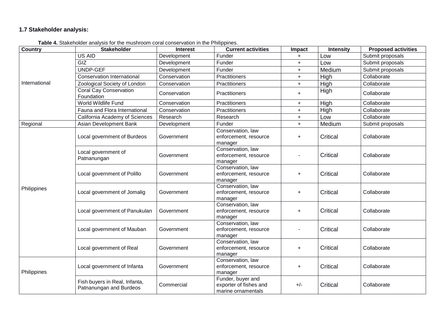### **1.7 Stakeholder analysis:**

| <b>Country</b> | <b>Stakeholder</b>                                       | Interest     | <b>Current activities</b>                                         | Impact    | <b>Intensity</b> | <b>Proposed activities</b> |
|----------------|----------------------------------------------------------|--------------|-------------------------------------------------------------------|-----------|------------------|----------------------------|
| International  | US AID                                                   | Development  | Funder                                                            |           | Low              | Submit proposals           |
|                | GIZ                                                      | Development  | Funder                                                            | $\ddot{}$ | Low              | Submit proposals           |
|                | UNDP-GEF                                                 | Development  | Funder                                                            | $\ddot{}$ | Medium           | Submit proposals           |
|                | <b>Conservation International</b>                        | Conservation | <b>Practitioners</b>                                              | $\ddot{}$ | High             | Collaborate                |
|                | Zoological Society of London                             | Conservation | Practitioners                                                     | $\ddot{}$ | High             | Collaborate                |
|                | <b>Coral Cay Conservation</b><br>Foundation              | Conservation | <b>Practitioners</b>                                              | $\ddot{}$ | High             | Collaborate                |
|                | World Wildlife Fund                                      | Conservation | <b>Practitioners</b>                                              | $\ddot{}$ | High             | Collaborate                |
|                | Fauna and Flora International                            | Conservation | <b>Practitioners</b>                                              | $\ddot{}$ | High             | Collaborate                |
|                | California Academy of Sciences                           | Research     | Research                                                          | $\ddot{}$ | Low              | Collaborate                |
| Regional       | Asian Development Bank                                   | Development  | Funder                                                            | $\ddot{}$ | Medium           | Submit proposals           |
| Philippines    | Local government of Burdeos                              | Government   | Conservation, law<br>enforcement, resource<br>manager             | $\ddot{}$ | Critical         | Collaborate                |
|                | Local government of<br>Patnanungan                       | Government   | Conservation, law<br>enforcement, resource<br>manager             |           | Critical         | Collaborate                |
|                | Local government of Polillo                              | Government   | Conservation, law<br>enforcement, resource<br>manager             | $\ddot{}$ | Critical         | Collaborate                |
|                | Local government of Jomalig                              | Government   | Conservation, law<br>enforcement, resource<br>manager             | +         | Critical         | Collaborate                |
|                | Local government of Panukulan                            | Government   | Conservation, law<br>enforcement, resource<br>manager             | $\ddot{}$ | Critical         | Collaborate                |
|                | Local government of Mauban                               | Government   | Conservation, law<br>enforcement, resource<br>manager             |           | Critical         | Collaborate                |
|                | Local government of Real                                 | Government   | Conservation, law<br>enforcement, resource<br>manager             | +         | Critical         | Collaborate                |
| Philippines    | Local government of Infanta                              | Government   | Conservation, law<br>enforcement, resource<br>manager             | $\ddot{}$ | Critical         | Collaborate                |
|                | Fish buyers in Real, Infanta,<br>Patnanungan and Burdeos | Commercial   | Funder, buyer and<br>exporter of fishes and<br>marine ornamentals | $+/-$     | Critical         | Collaborate                |

**Table 4.** Stakeholder analysis for the mushroom coral conservation in the Philippines.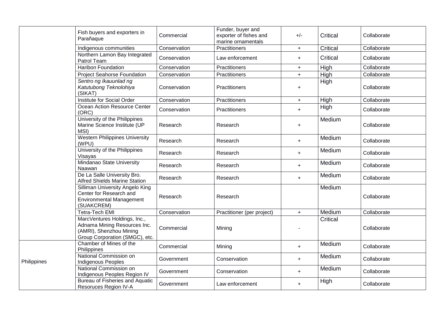|             | Fish buyers and exporters in<br>Parañaque                                                                                 | Commercial   | Funder, buyer and<br>exporter of fishes and<br>marine ornamentals | $+/-$            | Critical | Collaborate |
|-------------|---------------------------------------------------------------------------------------------------------------------------|--------------|-------------------------------------------------------------------|------------------|----------|-------------|
|             | Indigenous communities                                                                                                    | Conservation | Practitioners                                                     | $+$              | Critical | Collaborate |
|             | Northern Lamon Bay Integrated<br>Patrol Team                                                                              | Conservation | Law enforcement                                                   | $+$              | Critical | Collaborate |
|             | <b>Haribon Foundation</b>                                                                                                 | Conservation | Practitioners                                                     | $+$              | High     | Collaborate |
|             | <b>Project Seahorse Foundation</b>                                                                                        | Conservation | Practitioners                                                     | $+$              | High     | Collaborate |
|             | Sentro ng Ikauunlad ng<br>Katutubong Teknolohiya<br>(SIKAT)                                                               | Conservation | Practitioners                                                     | $\ddot{}$        | High     | Collaborate |
|             | Institute for Social Order                                                                                                | Conservation | Practitioners                                                     | $\ddot{}$        | High     | Collaborate |
|             | Ocean Action Resource Center<br>(ORC)                                                                                     | Conservation | Practitioners                                                     | $+$              | High     | Collaborate |
|             | University of the Philippines<br>Marine Science Institute (UP<br>MSI)                                                     | Research     | Research                                                          | $\ddot{}$        | Medium   | Collaborate |
|             | <b>Western Philippines University</b><br>(WPU)                                                                            | Research     | Research                                                          | $\ddot{}$        | Medium   | Collaborate |
|             | University of the Philippines<br>Visayas                                                                                  | Research     | Research                                                          | $+$              | Medium   | Collaborate |
|             | Mindanao State University<br>Naawan                                                                                       | Research     | Research                                                          | $+$              | Medium   | Collaborate |
|             | De La Salle University Bro.<br><b>Alfred Shields Marine Station</b>                                                       | Research     | Research                                                          | $+$              | Medium   | Collaborate |
|             | Silliman University Angelo King<br>Center for Research and<br><b>Environmental Management</b><br>(SUAKCREM)               | Research     | Research                                                          |                  | Medium   | Collaborate |
|             | <b>Tetra-Tech EMI</b>                                                                                                     | Conservation | Practitioner (per project)                                        | $+$              | Medium   | Collaborate |
|             | MarcVentures Holdings, Inc.,<br>Adnama Mining Resources Inc.<br>(AMRI), Shenzhou Mining<br>Group Corporation (SMGC), etc. | Commercial   | Mining                                                            |                  | Critical | Collaborate |
|             | Chamber of Mines of the<br>Philippines                                                                                    | Commercial   | Mining                                                            | $\boldsymbol{+}$ | Medium   | Collaborate |
| Philippines | National Commission on<br><b>Indigenous Peoples</b>                                                                       | Government   | Conservation                                                      | $+$              | Medium   | Collaborate |
|             | National Commission on<br>Indigenous Peoples Region IV                                                                    | Government   | Conservation                                                      | $\ddot{}$        | Medium   | Collaborate |
|             | <b>Bureau of Fisheries and Aquatic</b><br>Resoruces Region IV-A                                                           | Government   | Law enforcement                                                   | $\ddot{}$        | High     | Collaborate |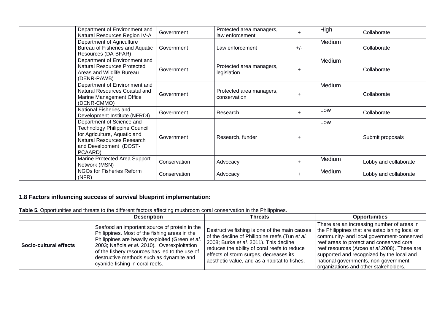| Department of Environment and<br>Natural Resources Region IV-A                                                                                                | Government   | Protected area managers,<br>law enforcement | $+$       | High   | Collaborate           |
|---------------------------------------------------------------------------------------------------------------------------------------------------------------|--------------|---------------------------------------------|-----------|--------|-----------------------|
| Department of Agriculture<br>Bureau of Fisheries and Aquatic<br>Resources (DA-BFAR)                                                                           | Government   | Law enforcement                             | $+/-$     | Medium | Collaborate           |
| Department of Environment and<br><b>Natural Resources Protected</b><br>Areas and Wildlife Bureau<br>(DENR-PAWB)                                               | Government   | Protected area managers,<br>legislation     | $+$       | Medium | Collaborate           |
| Department of Environment and<br>Natural Resources Coastal and<br>Marine Management Office<br>(DENR-CMMO)                                                     | Government   | Protected area managers,<br>conservation    | $\ddot{}$ | Medium | Collaborate           |
| National Fisheries and<br>Development Institute (NFRDI)                                                                                                       | Government   | Research                                    | $+$       | Low    | Collaborate           |
| Department of Science and<br>Technology Philippine Council<br>for Agriculture, Aquatic and<br>Natural Resources Research<br>and Development (DOST-<br>PCAARD) | Government   | Research, funder                            | $\ddot{}$ | Low    | Submit proposals      |
| Marine Protected Area Support<br>Network (MSN)                                                                                                                | Conservation | Advocacy                                    | $\ddot{}$ | Medium | Lobby and collaborate |
| NGOs for Fisheries Reform<br>(NFR)                                                                                                                            | Conservation | Advocacy                                    | $\ddot{}$ | Medium | Lobby and collaborate |

## **1.8 Factors influencing success of survival blueprint implementation:**

**Table 5.** Opportunities and threats to the different factors affecting mushroom coral conservation in the Philippines.

|                        | <b>Description</b>                                                                                                                                                                                                                                                                                                                | Threats                                                                                                                                                                                                                                                                             | <b>Opportunities</b>                                                                                                                                                                                                                                                                                                                                                 |
|------------------------|-----------------------------------------------------------------------------------------------------------------------------------------------------------------------------------------------------------------------------------------------------------------------------------------------------------------------------------|-------------------------------------------------------------------------------------------------------------------------------------------------------------------------------------------------------------------------------------------------------------------------------------|----------------------------------------------------------------------------------------------------------------------------------------------------------------------------------------------------------------------------------------------------------------------------------------------------------------------------------------------------------------------|
| Socio-cultural effects | Seafood an important source of protein in the<br>Philippines. Most of the fishing areas in the<br>Philippines are heavily exploited (Green et al.<br>2003; Nañola et al. 2010). Overexploitation<br>of the fishery resources has led to the use of<br>destructive methods such as dynamite and<br>cyanide fishing in coral reefs. | Destructive fishing is one of the main causes<br>of the decline of Philippine reefs (Tun et al.<br>2008; Burke et al. 2011). This decline<br>reduces the ability of coral reefs to reduce<br>effects of storm surges, decreases its<br>aesthetic value, and as a habitat to fishes. | There are an increasing number of areas in<br>the Philippines that are establishing local or<br>community- and local government-conserved<br>reef areas to protect and conserved coral<br>reef resources (Arceo et al.2008). These are<br>supported and recognized by the local and<br>national governments, non-government<br>organizations and other stakeholders. |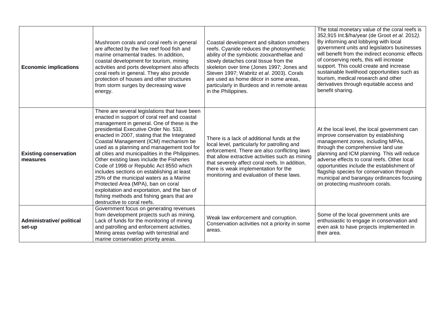| <b>Economic implications</b>              | Mushroom corals and coral reefs in general<br>are affected by the live reef food fish and<br>marine ornamental trades. In addition,<br>coastal development for tourism, mining<br>activities and ports development also affects<br>coral reefs in general. They also provide<br>protection of houses and other structures<br>from storm surges by decreasing wave<br>energy.                                                                                                                                                                                                                                                                                                                                                         | Coastal development and siltation smothers<br>reefs. Cyanide reduces the photosynthetic<br>ability of the symbiotic zooxanthellae and<br>slowly detaches coral tissue from the<br>skeleton over time (Jones 1997; Jones and<br>Steven 1997; Wabritz et al. 2003). Corals<br>are used as home décor in some areas,<br>particularly in Burdeos and in remote areas<br>in the Philippines. | The total monetary value of the coral reefs is<br>352,915 Int. \$/ha/year (de Groot et al. 2012).<br>By informing and lobbying with local<br>government units and legislators businesses<br>will benefit from the indirect economic effects<br>of conserving reefs, this will increase<br>support. This could create and increase<br>sustainable livelihood opportunities such as<br>tourism, medical research and other<br>derivatives through equitable access and<br>benefit sharing. |
|-------------------------------------------|--------------------------------------------------------------------------------------------------------------------------------------------------------------------------------------------------------------------------------------------------------------------------------------------------------------------------------------------------------------------------------------------------------------------------------------------------------------------------------------------------------------------------------------------------------------------------------------------------------------------------------------------------------------------------------------------------------------------------------------|-----------------------------------------------------------------------------------------------------------------------------------------------------------------------------------------------------------------------------------------------------------------------------------------------------------------------------------------------------------------------------------------|------------------------------------------------------------------------------------------------------------------------------------------------------------------------------------------------------------------------------------------------------------------------------------------------------------------------------------------------------------------------------------------------------------------------------------------------------------------------------------------|
| <b>Existing conservation</b><br>measures  | There are several legislations that have been<br>enacted in support of coral reef and coastal<br>management in general. One of these is the<br>presidential Executive Order No. 533,<br>enacted in 2007, stating that the Integrated<br>Coastal Management (ICM) mechanism be<br>used as a planning and management tool for<br>all cities and municipalities in the Philippines.<br>Other existing laws include the Fisheries<br>Code of 1998 or Republic Act 8550 which<br>includes sections on establishing at least<br>25% of the municipal waters as a Marine<br>Protected Area (MPA), ban on coral<br>exploitation and exportation, and the ban of<br>fishing methods and fishing gears that are<br>destructive to coral reefs. | There is a lack of additional funds at the<br>local level, particularly for patrolling and<br>enforcement. There are also conflicting laws<br>that allow extractive activities such as mining<br>that severely affect coral reefs. In addition,<br>there is weak implementation for the<br>monitoring and evaluation of these laws.                                                     | At the local level, the local government can<br>improve conservation by establishing<br>management zones, including MPAs,<br>through the comprehensive land use<br>planning and ICM planning. This will reduce<br>adverse effects to coral reefs. Other local<br>opportunities include the establishment of<br>flagship species for conservation through<br>municipal and barangay ordinances focusing<br>on protecting mushroom corals.                                                 |
| <b>Administrative/political</b><br>set-up | Government focus on generating revenues<br>from development projects such as mining.<br>Lack of funds for the monitoring of mining<br>and patrolling and enforcement activities.<br>Mining areas overlap with terrestrial and<br>marine conservation priority areas.                                                                                                                                                                                                                                                                                                                                                                                                                                                                 | Weak law enforcement and corruption.<br>Conservation activities not a priority in some<br>areas.                                                                                                                                                                                                                                                                                        | Some of the local government units are<br>enthusiastic to engage in conservation and<br>even ask to have projects implemented in<br>their area.                                                                                                                                                                                                                                                                                                                                          |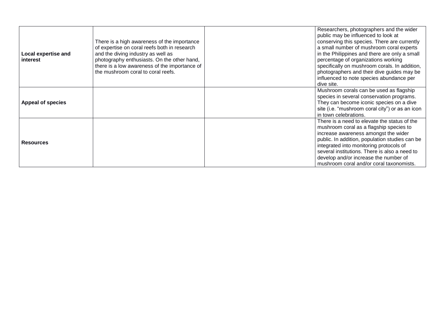| <b>Local expertise and</b><br>interest | There is a high awareness of the importance<br>of expertise on coral reefs both in research<br>and the diving industry as well as<br>photography enthusiasts. On the other hand,<br>there is a low awareness of the importance of<br>the mushroom coral to coral reefs. | Researchers, photographers and the wider<br>public may be influenced to look at<br>conserving this species. There are currently<br>a small number of mushroom coral experts<br>in the Philippines and there are only a small<br>percentage of organizations working<br>specifically on mushroom corals. In addition,<br>photographers and their dive guides may be<br>influenced to note species abundance per<br>dive site. |
|----------------------------------------|-------------------------------------------------------------------------------------------------------------------------------------------------------------------------------------------------------------------------------------------------------------------------|------------------------------------------------------------------------------------------------------------------------------------------------------------------------------------------------------------------------------------------------------------------------------------------------------------------------------------------------------------------------------------------------------------------------------|
| <b>Appeal of species</b>               |                                                                                                                                                                                                                                                                         | Mushroom corals can be used as flagship<br>species in several conservation programs.<br>They can become iconic species on a dive<br>site (i.e. "mushroom coral city") or as an icon<br>in town celebrations.                                                                                                                                                                                                                 |
| Resources                              |                                                                                                                                                                                                                                                                         | There is a need to elevate the status of the<br>mushroom coral as a flagship species to<br>increase awareness amongst the wider<br>public. In addition, population studies can be<br>integrated into monitoring protocols of<br>several institutions. There is also a need to<br>develop and/or increase the number of<br>mushroom coral and/or coral taxonomists.                                                           |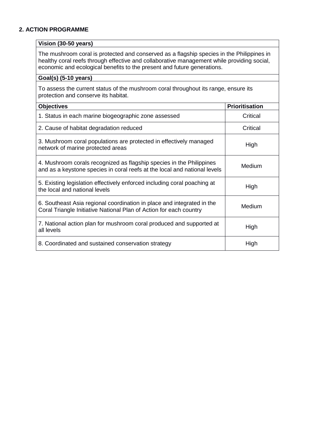#### **2. ACTION PROGRAMME**

#### **Vision (30-50 years)**

The mushroom coral is protected and conserved as a flagship species in the Philippines in healthy coral reefs through effective and collaborative management while providing social, economic and ecological benefits to the present and future generations.

#### **Goal(s) (5-10 years)**

To assess the current status of the mushroom coral throughout its range, ensure its protection and conserve its habitat.

| <b>Objectives</b>                                                                                                                                 | <b>Prioritisation</b> |
|---------------------------------------------------------------------------------------------------------------------------------------------------|-----------------------|
| 1. Status in each marine biogeographic zone assessed                                                                                              | Critical              |
| 2. Cause of habitat degradation reduced                                                                                                           | Critical              |
| 3. Mushroom coral populations are protected in effectively managed<br>network of marine protected areas                                           | High                  |
| 4. Mushroom corals recognized as flagship species in the Philippines<br>and as a keystone species in coral reefs at the local and national levels | <b>Medium</b>         |
| 5. Existing legislation effectively enforced including coral poaching at<br>the local and national levels                                         | High                  |
| 6. Southeast Asia regional coordination in place and integrated in the<br>Coral Triangle Initiative National Plan of Action for each country      | Medium                |
| 7. National action plan for mushroom coral produced and supported at<br>all levels                                                                | High                  |
| 8. Coordinated and sustained conservation strategy                                                                                                | High                  |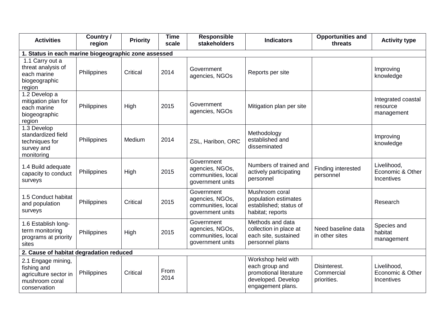| <b>Activities</b>                                                                            | Country /<br>region | <b>Priority</b> | <b>Time</b><br>scale | <b>Responsible</b><br>stakeholders                                      | <b>Indicators</b>                                                                                         | <b>Opportunities and</b><br>threats       | <b>Activity type</b>                          |  |  |
|----------------------------------------------------------------------------------------------|---------------------|-----------------|----------------------|-------------------------------------------------------------------------|-----------------------------------------------------------------------------------------------------------|-------------------------------------------|-----------------------------------------------|--|--|
| 1. Status in each marine biogeographic zone assessed                                         |                     |                 |                      |                                                                         |                                                                                                           |                                           |                                               |  |  |
| 1.1 Carry out a<br>threat analysis of<br>each marine<br>biogeographic<br>region              | Philippines         | Critical        | 2014                 | Government<br>agencies, NGOs                                            | Reports per site                                                                                          |                                           | Improving<br>knowledge                        |  |  |
| 1.2 Develop a<br>mitigation plan for<br>each marine<br>biogeographic<br>region               | Philippines         | High            | 2015                 | Government<br>agencies, NGOs                                            | Mitigation plan per site                                                                                  |                                           | Integrated coastal<br>resource<br>management  |  |  |
| 1.3 Develop<br>standardized field<br>techniques for<br>survey and<br>monitoring              | Philippines         | Medium          | 2014                 | ZSL, Haribon, ORC                                                       | Methodology<br>established and<br>disseminated                                                            |                                           | Improving<br>knowledge                        |  |  |
| 1.4 Build adequate<br>capacity to conduct<br>surveys                                         | Philippines         | High            | 2015                 | Government<br>agencies, NGOs,<br>communities, local<br>government units | Numbers of trained and<br>actively participating<br>personnel                                             | Finding interested<br>personnel           | Livelihood,<br>Economic & Other<br>Incentives |  |  |
| 1.5 Conduct habitat<br>and population<br>surveys                                             | Philippines         | Critical        | 2015                 | Government<br>agencies, NGOs,<br>communities, local<br>government units | Mushroom coral<br>population estimates<br>established; status of<br>habitat; reports                      |                                           | Research                                      |  |  |
| 1.6 Establish long-<br>term monitoring<br>programs at priority<br>sites                      | Philippines         | High            | 2015                 | Government<br>agencies, NGOs,<br>communities, local<br>government units | Methods and data<br>collection in place at<br>each site, sustained<br>personnel plans                     | Need baseline data<br>in other sites      | Species and<br>habitat<br>management          |  |  |
| 2. Cause of habitat degradation reduced                                                      |                     |                 |                      |                                                                         |                                                                                                           |                                           |                                               |  |  |
| 2.1 Engage mining,<br>fishing and<br>agriculture sector in<br>mushroom coral<br>conservation | Philippines         | Critical        | From<br>2014         |                                                                         | Workshop held with<br>each group and<br>promotional literature<br>developed. Develop<br>engagement plans. | Disinterest.<br>Commercial<br>priorities. | Livelihood,<br>Economic & Other<br>Incentives |  |  |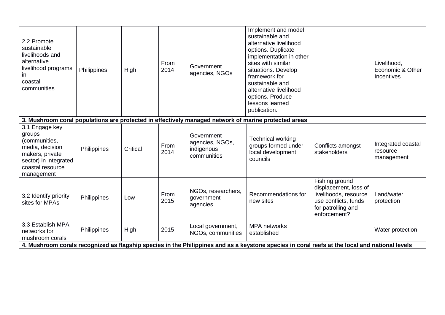| 2.2 Promote<br>sustainable<br>livelihoods and<br>alternative<br>livelihood programs<br>in<br>coastal<br>communities                            | Philippines | High     | From<br>2014 | Government<br>agencies, NGOs                               | Implement and model<br>sustainable and<br>alternative livelihood<br>options. Duplicate<br>implementation in other<br>sites with similar<br>situations. Develop<br>framework for<br>sustainable and<br>alternative livelihood<br>options. Produce<br>lessons learned<br>publication. |                                                                                                                                | Livelihood,<br>Economic & Other<br>Incentives |
|------------------------------------------------------------------------------------------------------------------------------------------------|-------------|----------|--------------|------------------------------------------------------------|-------------------------------------------------------------------------------------------------------------------------------------------------------------------------------------------------------------------------------------------------------------------------------------|--------------------------------------------------------------------------------------------------------------------------------|-----------------------------------------------|
|                                                                                                                                                |             |          |              |                                                            | 3. Mushroom coral populations are protected in effectively managed network of marine protected areas                                                                                                                                                                                |                                                                                                                                |                                               |
| 3.1 Engage key<br>groups<br>(communities,<br>media, decision<br>makers, private<br>sector) in integrated<br>coastal resource<br>management     | Philippines | Critical | From<br>2014 | Government<br>agencies, NGOs,<br>indigenous<br>communities | <b>Technical working</b><br>groups formed under<br>local development<br>councils                                                                                                                                                                                                    | Conflicts amongst<br>stakeholders                                                                                              | Integrated coastal<br>resource<br>management  |
| 3.2 Identify priority<br>sites for MPAs                                                                                                        | Philippines | Low      | From<br>2015 | NGOs, researchers,<br>government<br>agencies               | Recommendations for<br>new sites                                                                                                                                                                                                                                                    | Fishing ground<br>displacement, loss of<br>livelihoods, resource<br>use conflicts, funds<br>for patrolling and<br>enforcement? | Land/water<br>protection                      |
| 3.3 Establish MPA<br>networks for<br>mushroom corals                                                                                           | Philippines | High     | 2015         | Local government,<br>NGOs, communities                     | <b>MPA</b> networks<br>established                                                                                                                                                                                                                                                  |                                                                                                                                | Water protection                              |
| 4. Mushroom corals recognized as flagship species in the Philippines and as a keystone species in coral reefs at the local and national levels |             |          |              |                                                            |                                                                                                                                                                                                                                                                                     |                                                                                                                                |                                               |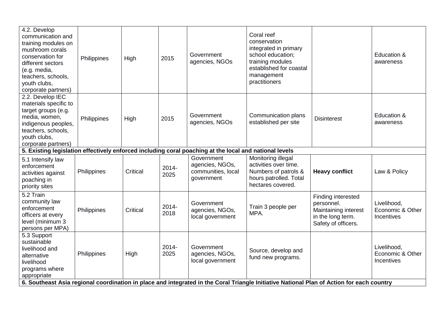| 4.2. Develop<br>communication and<br>training modules on<br>mushroom corals<br>conservation for<br>different sectors<br>(e.g. media,<br>teachers, schools,<br>youth clubs,<br>corporate partners) | Philippines | High     | 2015             | Government<br>agencies, NGOs                                                                                                           | Coral reef<br>conservation<br>integrated in primary<br>school education;<br>training modules<br>established for coastal<br>management<br>practitioners                                 |                                                                                                      | Education &<br>awareness                      |
|---------------------------------------------------------------------------------------------------------------------------------------------------------------------------------------------------|-------------|----------|------------------|----------------------------------------------------------------------------------------------------------------------------------------|----------------------------------------------------------------------------------------------------------------------------------------------------------------------------------------|------------------------------------------------------------------------------------------------------|-----------------------------------------------|
| 2.2. Develop IEC<br>materials specific to<br>target groups (e.g.<br>media, women,<br>indigenous peoples,<br>teachers, schools,<br>youth clubs,<br>corporate partners)                             | Philippines | High     | 2015             | Government<br>agencies, NGOs<br>5. Existing legislation effectively enforced including coral poaching at the local and national levels | Communication plans<br>established per site                                                                                                                                            | <b>Disinterest</b>                                                                                   | Education &<br>awareness                      |
| 5.1 Intensify law<br>enforcement<br>activities against<br>poaching in<br>priority sites                                                                                                           | Philippines | Critical | 2014-<br>2025    | Government<br>agencies, NGOs,<br>communities, local<br>government                                                                      | Monitoring illegal<br>activities over time.<br>Numbers of patrols &<br>hours patrolled. Total<br>hectares covered.                                                                     | <b>Heavy conflict</b>                                                                                | Law & Policy                                  |
| $5.2$ Train<br>community law<br>enforcement<br>officers at every<br>level (minimum 3<br>persons per MPA)                                                                                          | Philippines | Critical | $2014 -$<br>2018 | Government<br>agencies, NGOs,<br>local government                                                                                      | Train 3 people per<br>MPA.                                                                                                                                                             | Finding interested<br>personnel.<br>Maintaining interest<br>in the long term.<br>Safety of officers. | Livelihood,<br>Economic & Other<br>Incentives |
| 5.3 Support<br>sustainable<br>livelihood and<br>alternative<br>livelihood<br>programs where<br>appropriate                                                                                        | Philippines | High     | $2014 -$<br>2025 | Government<br>agencies, NGOs,<br>local government                                                                                      | Source, develop and<br>fund new programs.<br>6. Southeast Asia regional coordination in place and integrated in the Coral Triangle Initiative National Plan of Action for each country |                                                                                                      | Livelihood,<br>Economic & Other<br>Incentives |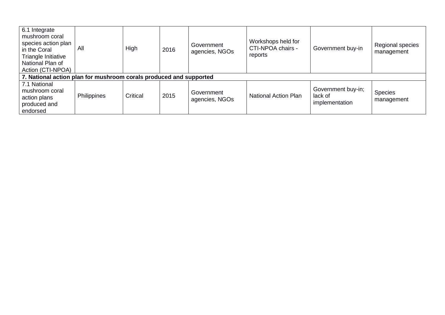| 6.1 Integrate<br>mushroom coral<br>species action plan<br>in the Coral<br>Triangle Initiative<br>National Plan of<br>Action (CTI-NPOA) | All         | High     | 2016 | Government<br>agencies, NGOs | Workshops held for<br>CTI-NPOA chairs -<br>reports | Government buy-in                               | Regional species<br>management |  |  |
|----------------------------------------------------------------------------------------------------------------------------------------|-------------|----------|------|------------------------------|----------------------------------------------------|-------------------------------------------------|--------------------------------|--|--|
| 7. National action plan for mushroom corals produced and supported                                                                     |             |          |      |                              |                                                    |                                                 |                                |  |  |
| 7.1 National<br>mushroom coral<br>action plans<br>produced and<br>endorsed                                                             | Philippines | Critical | 2015 | Government<br>agencies, NGOs | <b>National Action Plan</b>                        | Government buy-in;<br>lack of<br>implementation | <b>Species</b><br>management   |  |  |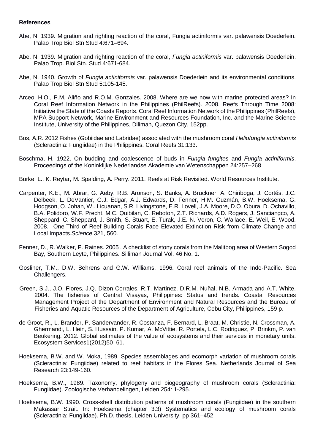#### **References**

- Abe, N. 1939. Migration and righting reaction of the coral, Fungia actiniformis var. palawensis Doederlein. Palao Trop Biol Stn Stud 4:671–694.
- Abe, N. 1939. Migration and righting reaction of the coral, *Fungia actiniformis* var. palawensis Doederlein. Palao Trop. Biol Stn. Stud 4:671-684.
- Abe, N. 1940. Growth of *Fungia actiniformis* var. palawensis Doederlein and its environmental conditions. Palao Trop Biol Stn Stud 5:105-145.
- Arceo, H.O., P.M. Aliño and R.O.M. Gonzales. 2008. Where are we now with marine protected areas? In Coral Reef Information Network in the Philippines (PhilReefs). 2008. Reefs Through Time 2008: Initiative the State of the Coasts Reports. Coral Reef Information Network of the Philippines (PhilReefs), MPA Support Network, Marine Environment and Resources Foundation, Inc. and the Marine Science Institute, University of the Philippines, Diliman, Quezon City. 152pp.
- Bos, A.R. 2012 Fishes (Gobiidae and Labridae) associated with the mushroom coral *Heliofungia actiniformis*  (Scleractinia: Fungiidae) in the Philippines. Coral Reefs 31:133.
- Boschma, H. 1922. On budding and coalescence of buds in *Fungia fungites* and *Fungia actiniformis*. Proceedings of the Koninklijke Nederlandse Akademie van Wetenschappen 24:257–268
- Burke, L., K. Reytar, M. Spalding, A. Perry. 2011. Reefs at Risk Revisited. World Resources Institute.
- Carpenter, K.E., M. Abrar, G. Aeby, R.B. Aronson, S. Banks, A. Bruckner, A. Chiriboga, J. Cortés, J.C. Delbeek, L. DeVantier, G.J. Edgar, A.J. Edwards, D. Fenner, H.M. Guzmán, B.W. Hoeksema, G. Hodgson, O. Johan, W.. Licuanan, S.R. Livingstone, E.R. Lovell, J.A. Moore, D.O. Obura, D. Ochavillo, B.A. Polidoro, W.F. Precht, M.C. Quibilan, C. Reboton, Z.T. Richards, A.D. Rogers, J. Sanciangco, A. Sheppard, C. Sheppard, J. Smith, S. Stuart, E. Turak, J.E. N. Veron, C. Wallace, E. Weil, E. Wood. 2008. One-Third of Reef-Building Corals Face Elevated Extinction Risk from Climate Change and Local Impacts.*Science* 321, 560.
- Fenner, D., R. Walker, P. Raines. 2005 . A checklist of stony corals from the Malitbog area of Western Sogod Bay, Southern Leyte, Philippines. *S*illiman *J*ournal Vol. 46 No. 1.
- Gosliner, T.M., D.W. Behrens and G.W. Williams. 1996. Coral reef animals of the Indo-Pacific. Sea Challengers.
- Green, S.J., J.O. Flores, J.Q. Dizon-Corrales, R.T. Martinez, D.R.M. Nuñal, N.B. Armada and A.T. White. 2004. The fisheries of Central Visayas, Philippines: Status and trends. Coastal Resources Management Project of the Department of Environment and Natural Resources and the Bureau of Fisheries and Aquatic Resources of the Department of Agriculture, Cebu City, Philippines, 159 p.
- de Groot, R., L. Brander, P. Sandervander, R. Costanza, F. Bernard, L. Braat, M. Christie, N. Crossman, A. Ghermandi, L. Hein, S. Hussain, P. Kumar, A. McVittie, R. Portela, L.C. Rodriguez, P. Brinkm, P. van Beukering. 2012. Global estimates of the value of ecosystems and their services in monetary units. Ecosystem Services1(2012)50–61.
- Hoeksema, B.W. and W. Moka, 1989. Species assemblages and ecomorph variation of mushroom corals (Scleractinia: Fungiidae) related to reef habitats in the Flores Sea. [Netherlands Journal of Sea](http://www.sciencedirect.com/science/article/pii/0077757989900094)  [Research 23:149-160.](http://www.sciencedirect.com/science/article/pii/0077757989900094)
- Hoeksema, B.W., 1989. Taxonomy, phylogeny and biogeography of mushroom corals (Scleractinia: Fungiidae). Zoologische Verhandelingen, Leiden 254: 1-295.
- Hoeksema, B.W. 1990. Cross-shelf distribution patterns of mushroom corals (Fungiidae) in the southern Makassar Strait. In: Hoeksema (chapter 3.3) Systematics and ecology of mushroom corals (Scleractinia: Fungiidae). Ph.D. thesis, Leiden University, pp 361–452.